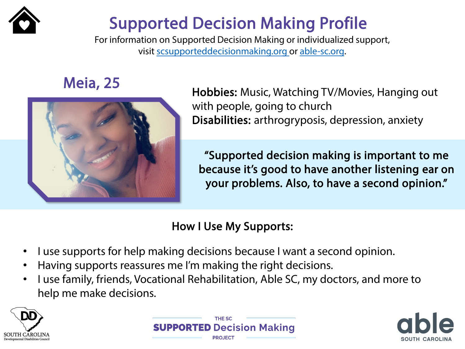

## Supported Decision Making Profile

For information on Supported Decision Making or individualized support, visit [scsupporteddecisionmaking.org](http://scsupporteddecisionmaking.org/) or [able-sc.org.](https://www.able-sc.org/)



Meia, 25 Hobbies: Music, Watching TV/Movies, Hanging out with people, going to church Disabilities: arthrogryposis, depression, anxiety

> "Supported decision making is important to me because it's good to have another listening ear on your problems. Also, to have a second opinion."

- I use supports for help making decisions because I want a second opinion.
- Having supports reassures me I'm making the right decisions.
- I use family, friends, Vocational Rehabilitation, Able SC, my doctors, and more to help me make decisions.





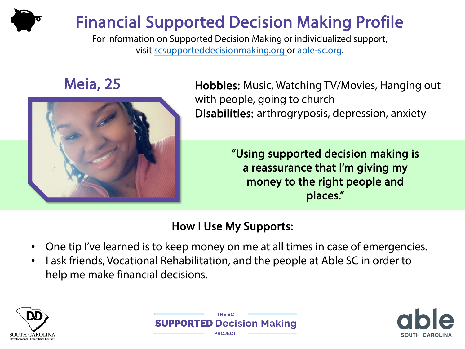# Financial Supported Decision Making Profile

For information on Supported Decision Making or individualized support, visit [scsupporteddecisionmaking.org](http://scsupporteddecisionmaking.org/) or [able-sc.org](https://www.able-sc.org/).



Meia, 25 Hobbies: Music, Watching TV/Movies, Hanging out with people, going to church Disabilities: arthrogryposis, depression, anxiety

> "Using supported decision making is a reassurance that I'm giving my money to the right people and places."

- One tip I've learned is to keep money on me at all times in case of emergencies.
- I ask friends, Vocational Rehabilitation, and the people at Able SC in order to help me make financial decisions.





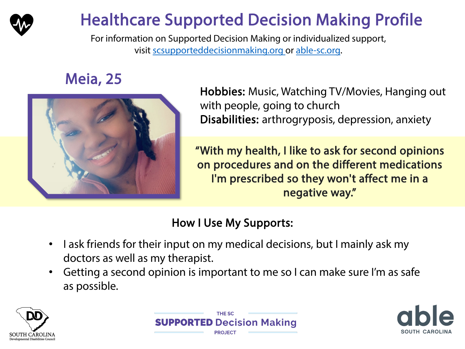

# Healthcare Supported Decision Making Profile

For information on Supported Decision Making or individualized support, visit [scsupporteddecisionmaking.org](http://scsupporteddecisionmaking.org/) or [able-sc.org.](https://www.able-sc.org/)

## Meia, 25



Hobbies: Music, Watching TV/Movies, Hanging out with people, going to church Disabilities: arthrogryposis, depression, anxiety

"With my health, I like to ask for second opinions on procedures and on the different medications I'm prescribed so they won't affect me in a negative way."

- I ask friends for their input on my medical decisions, but I mainly ask my doctors as well as my therapist.
- Getting a second opinion is important to me so I can make sure I'm as safe as possible.





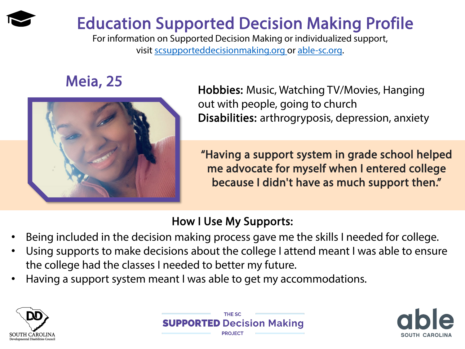## Education Supported Decision Making Profile

For information on Supported Decision Making or individualized support, visit [scsupporteddecisionmaking.org](http://scsupporteddecisionmaking.org/) or [able-sc.org.](https://www.able-sc.org/)



Meia, 25 **Meia, 25** Hobbies: Music, Watching TV/Movies, Hanging out with people, going to church Disabilities: arthrogryposis, depression, anxiety

> "Having a support system in grade school helped me advocate for myself when I entered college because I didn't have as much support then."

- Being included in the decision making process gave me the skills I needed for college.
- Using supports to make decisions about the college I attend meant I was able to ensure the college had the classes I needed to better my future.
- Having a support system meant I was able to get my accommodations.





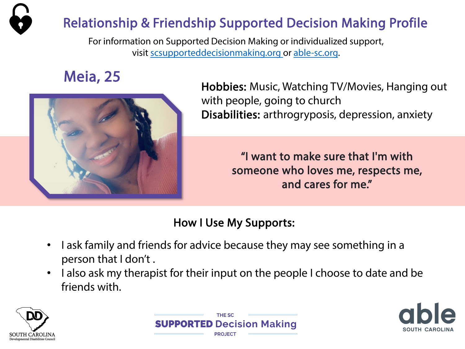

For information on Supported Decision Making or individualized support, visit [scsupporteddecisionmaking.org](http://scsupporteddecisionmaking.org/) or [able-sc.org](https://www.able-sc.org/).



**Meia, 25**<br>Hobbies: Music, Watching TV/Movies, Hanging out with people, going to church Disabilities: arthrogryposis, depression, anxiety

> "I want to make sure that I'm with someone who loves me, respects me, and cares for me."

- I ask family and friends for advice because they may see something in a person that I don't .
- I also ask my therapist for their input on the people I choose to date and be friends with.





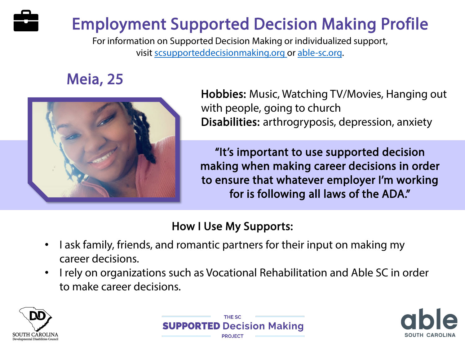# Employment Supported Decision Making Profile

For information on Supported Decision Making or individualized support, visit [scsupporteddecisionmaking.org](http://scsupporteddecisionmaking.org/) or [able-sc.org.](https://www.able-sc.org/)

## Meia, 25



Hobbies: Music, Watching TV/Movies, Hanging out with people, going to church Disabilities: arthrogryposis, depression, anxiety

"It's important to use supported decision making when making career decisions in order to ensure that whatever employer I'm working for is following all laws of the ADA."

- I ask family, friends, and romantic partners for their input on making my career decisions.
- I rely on organizations such as Vocational Rehabilitation and Able SC in order to make career decisions.